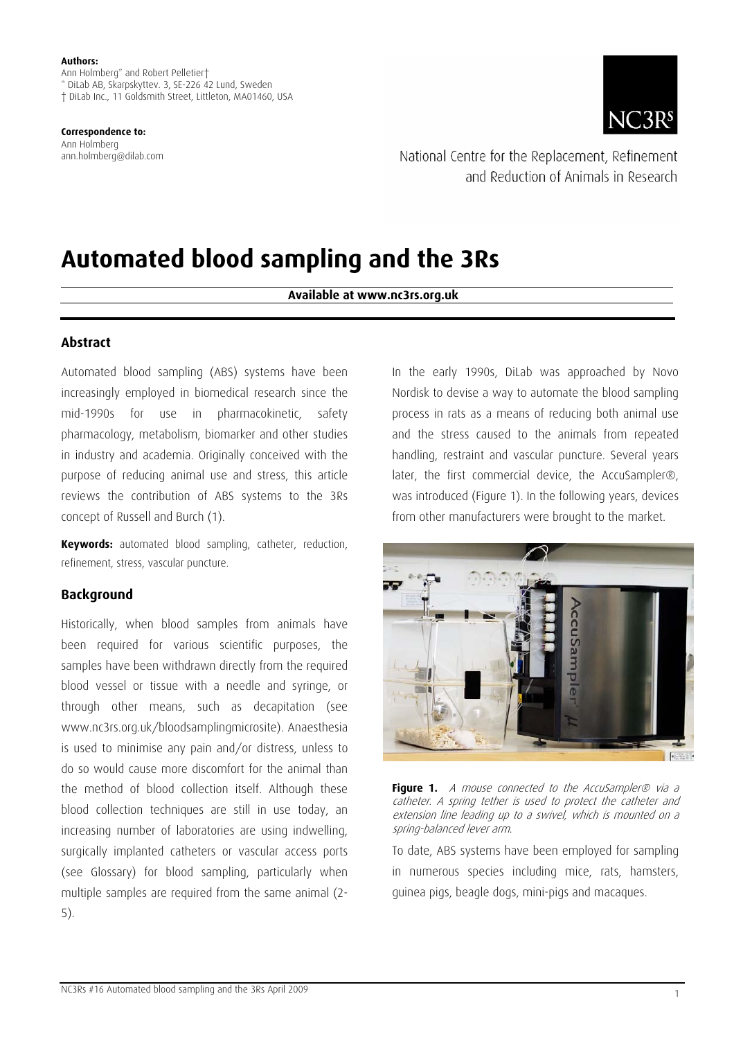Ann Holmberg\* and Robert Pelletier† \* DiLab AB, Skarpskyttev. 3, SE-226 42 Lund, Sweden † DiLab Inc., 11 Goldsmith Street, Littleton, MA01460, USA

**Correspondence to:**  Ann Holmberg ann.holmberg@dilab.com



National Centre for the Replacement, Refinement and Reduction of Animals in Research

# **Automated blood sampling and the 3Rs**

**Available at www.nc3rs.org.uk** 

### **Abstract**

l

Automated blood sampling (ABS) systems have been increasingly employed in biomedical research since the mid-1990s for use in pharmacokinetic, safety pharmacology, metabolism, biomarker and other studies in industry and academia. Originally conceived with the purpose of reducing animal use and stress, this article reviews the contribution of ABS systems to the 3Rs concept of Russell and Burch (1).

**Keywords:** automated blood sampling, catheter, reduction, refinement, stress, vascular puncture.

#### **Background**

Historically, when blood samples from animals have been required for various scientific purposes, the samples have been withdrawn directly from the required blood vessel or tissue with a needle and syringe, or through other means, such as decapitation (see www.nc3rs.org.uk/bloodsamplingmicrosite). Anaesthesia is used to minimise any pain and/or distress, unless to do so would cause more discomfort for the animal than the method of blood collection itself. Although these blood collection techniques are still in use today, an increasing number of laboratories are using indwelling, surgically implanted catheters or vascular access ports (see Glossary) for blood sampling, particularly when multiple samples are required from the same animal (2- 5).

In the early 1990s, DiLab was approached by Novo Nordisk to devise a way to automate the blood sampling process in rats as a means of reducing both animal use and the stress caused to the animals from repeated handling, restraint and vascular puncture. Several years later, the first commercial device, the AccuSampler®, was introduced (Figure 1). In the following years, devices from other manufacturers were brought to the market.





To date, ABS systems have been employed for sampling in numerous species including mice, rats, hamsters, guinea pigs, beagle dogs, mini-pigs and macaques.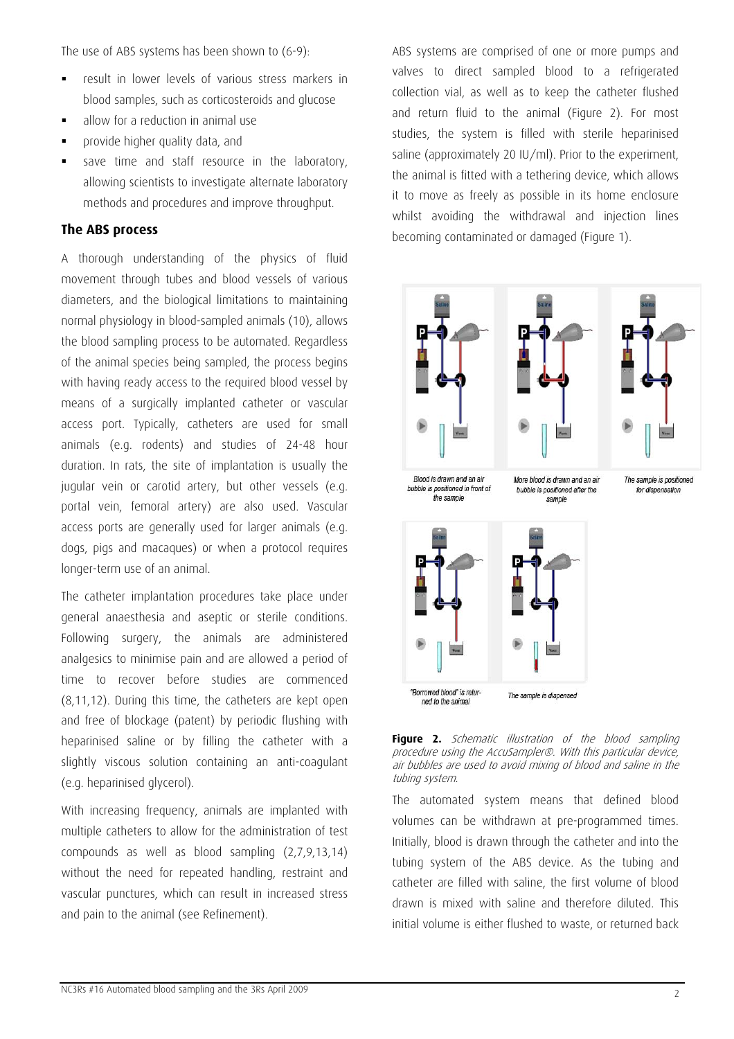The use of ABS systems has been shown to (6-9):

- result in lower levels of various stress markers in blood samples, such as corticosteroids and glucose
- allow for a reduction in animal use
- **Provide higher quality data, and**
- save time and staff resource in the laboratory, allowing scientists to investigate alternate laboratory methods and procedures and improve throughput.

# **The ABS process**

A thorough understanding of the physics of fluid movement through tubes and blood vessels of various diameters, and the biological limitations to maintaining normal physiology in blood-sampled animals (10), allows the blood sampling process to be automated. Regardless of the animal species being sampled, the process begins with having ready access to the required blood vessel by means of a surgically implanted catheter or vascular access port. Typically, catheters are used for small animals (e.g. rodents) and studies of 24-48 hour duration. In rats, the site of implantation is usually the jugular vein or carotid artery, but other vessels (e.g. portal vein, femoral artery) are also used. Vascular access ports are generally used for larger animals (e.g. dogs, pigs and macaques) or when a protocol requires longer-term use of an animal.

The catheter implantation procedures take place under general anaesthesia and aseptic or sterile conditions. Following surgery, the animals are administered analgesics to minimise pain and are allowed a period of time to recover before studies are commenced (8,11,12). During this time, the catheters are kept open and free of blockage (patent) by periodic flushing with heparinised saline or by filling the catheter with a slightly viscous solution containing an anti-coagulant (e.g. heparinised glycerol).

With increasing frequency, animals are implanted with multiple catheters to allow for the administration of test compounds as well as blood sampling (2,7,9,13,14) without the need for repeated handling, restraint and vascular punctures, which can result in increased stress and pain to the animal (see Refinement).

ABS systems are comprised of one or more pumps and valves to direct sampled blood to a refrigerated collection vial, as well as to keep the catheter flushed and return fluid to the animal (Figure 2). For most studies, the system is filled with sterile heparinised saline (approximately 20 IU/ml). Prior to the experiment, the animal is fitted with a tethering device, which allows it to move as freely as possible in its home enclosure whilst avoiding the withdrawal and injection lines becoming contaminated or damaged (Figure 1).





The automated system means that defined blood volumes can be withdrawn at pre-programmed times. Initially, blood is drawn through the catheter and into the tubing system of the ABS device. As the tubing and catheter are filled with saline, the first volume of blood drawn is mixed with saline and therefore diluted. This initial volume is either flushed to waste, or returned back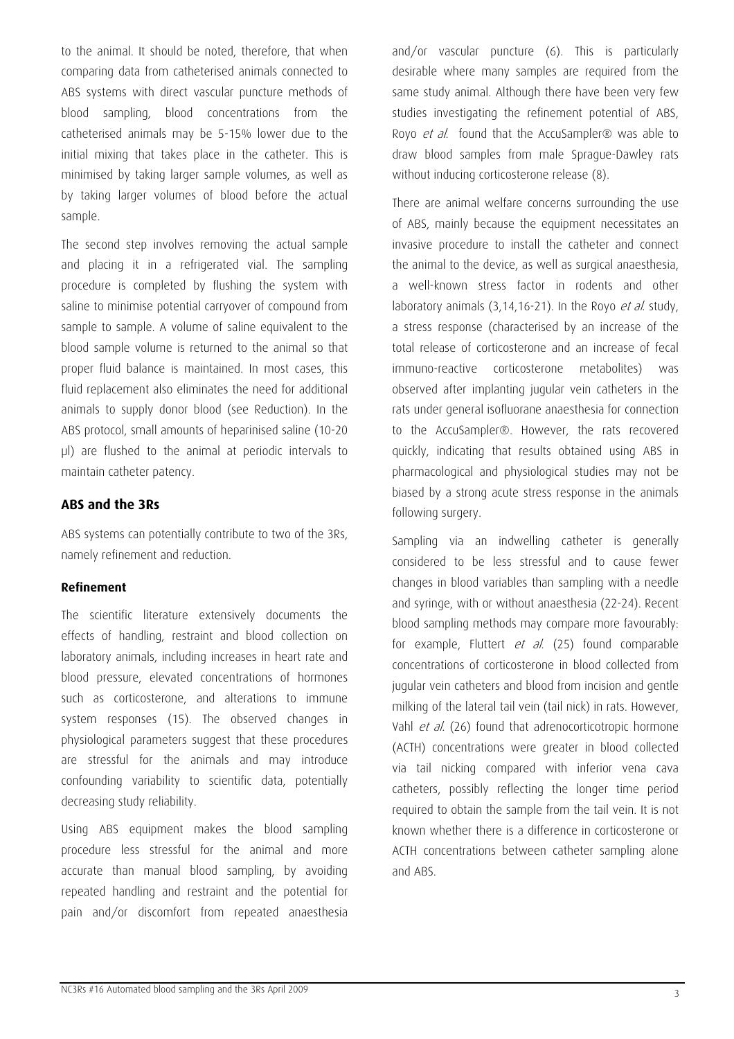to the animal. It should be noted, therefore, that when comparing data from catheterised animals connected to ABS systems with direct vascular puncture methods of blood sampling, blood concentrations from the catheterised animals may be 5-15% lower due to the initial mixing that takes place in the catheter. This is minimised by taking larger sample volumes, as well as by taking larger volumes of blood before the actual sample.

The second step involves removing the actual sample and placing it in a refrigerated vial. The sampling procedure is completed by flushing the system with saline to minimise potential carryover of compound from sample to sample. A volume of saline equivalent to the blood sample volume is returned to the animal so that proper fluid balance is maintained. In most cases, this fluid replacement also eliminates the need for additional animals to supply donor blood (see Reduction). In the ABS protocol, small amounts of heparinised saline (10-20 µl) are flushed to the animal at periodic intervals to maintain catheter patency.

# **ABS and the 3Rs**

ABS systems can potentially contribute to two of the 3Rs, namely refinement and reduction.

# **Refinement**

The scientific literature extensively documents the effects of handling, restraint and blood collection on laboratory animals, including increases in heart rate and blood pressure, elevated concentrations of hormones such as corticosterone, and alterations to immune system responses (15). The observed changes in physiological parameters suggest that these procedures are stressful for the animals and may introduce confounding variability to scientific data, potentially decreasing study reliability.

Using ABS equipment makes the blood sampling procedure less stressful for the animal and more accurate than manual blood sampling, by avoiding repeated handling and restraint and the potential for pain and/or discomfort from repeated anaesthesia

and/or vascular puncture (6). This is particularly desirable where many samples are required from the same study animal. Although there have been very few studies investigating the refinement potential of ABS, Royo *et al.* found that the AccuSampler® was able to draw blood samples from male Sprague-Dawley rats without inducing corticosterone release (8).

There are animal welfare concerns surrounding the use of ABS, mainly because the equipment necessitates an invasive procedure to install the catheter and connect the animal to the device, as well as surgical anaesthesia, a well-known stress factor in rodents and other laboratory animals (3,14,16-21). In the Royo et al. study, a stress response (characterised by an increase of the total release of corticosterone and an increase of fecal immuno-reactive corticosterone metabolites) was observed after implanting jugular vein catheters in the rats under general isofluorane anaesthesia for connection to the AccuSampler®. However, the rats recovered quickly, indicating that results obtained using ABS in pharmacological and physiological studies may not be biased by a strong acute stress response in the animals following surgery.

Sampling via an indwelling catheter is generally considered to be less stressful and to cause fewer changes in blood variables than sampling with a needle and syringe, with or without anaesthesia (22-24). Recent blood sampling methods may compare more favourably: for example, Fluttert et al. (25) found comparable concentrations of corticosterone in blood collected from jugular vein catheters and blood from incision and gentle milking of the lateral tail vein (tail nick) in rats. However, Vahl et al. (26) found that adrenocorticotropic hormone (ACTH) concentrations were greater in blood collected via tail nicking compared with inferior vena cava catheters, possibly reflecting the longer time period required to obtain the sample from the tail vein. It is not known whether there is a difference in corticosterone or ACTH concentrations between catheter sampling alone and ABS.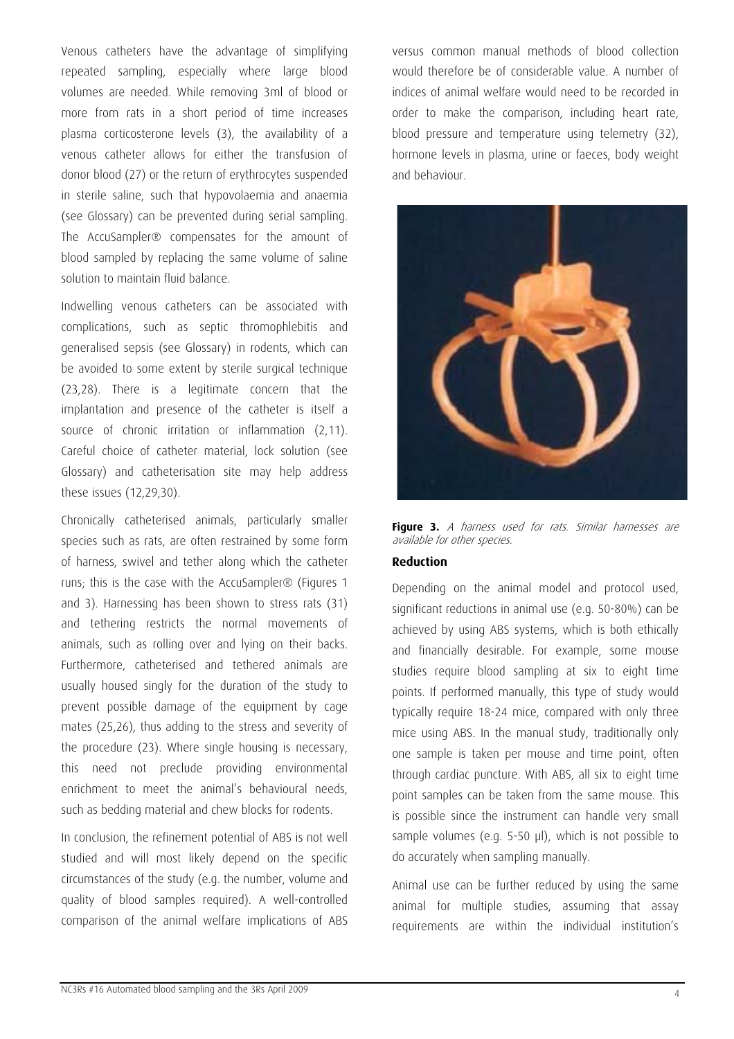Venous catheters have the advantage of simplifying repeated sampling, especially where large blood volumes are needed. While removing 3ml of blood or more from rats in a short period of time increases plasma corticosterone levels (3), the availability of a venous catheter allows for either the transfusion of donor blood (27) or the return of erythrocytes suspended in sterile saline, such that hypovolaemia and anaemia (see Glossary) can be prevented during serial sampling. The AccuSampler® compensates for the amount of blood sampled by replacing the same volume of saline solution to maintain fluid balance.

Indwelling venous catheters can be associated with complications, such as septic thromophlebitis and generalised sepsis (see Glossary) in rodents, which can be avoided to some extent by sterile surgical technique (23,28). There is a legitimate concern that the implantation and presence of the catheter is itself a source of chronic irritation or inflammation (2,11). Careful choice of catheter material, lock solution (see Glossary) and catheterisation site may help address these issues (12,29,30).

Chronically catheterised animals, particularly smaller species such as rats, are often restrained by some form of harness, swivel and tether along which the catheter runs; this is the case with the AccuSampler® (Figures 1 and 3). Harnessing has been shown to stress rats (31) and tethering restricts the normal movements of animals, such as rolling over and lying on their backs. Furthermore, catheterised and tethered animals are usually housed singly for the duration of the study to prevent possible damage of the equipment by cage mates (25,26), thus adding to the stress and severity of the procedure (23). Where single housing is necessary, this need not preclude providing environmental enrichment to meet the animal's behavioural needs, such as bedding material and chew blocks for rodents.

In conclusion, the refinement potential of ABS is not well studied and will most likely depend on the specific circumstances of the study (e.g. the number, volume and quality of blood samples required). A well-controlled comparison of the animal welfare implications of ABS versus common manual methods of blood collection would therefore be of considerable value. A number of indices of animal welfare would need to be recorded in order to make the comparison, including heart rate, blood pressure and temperature using telemetry (32), hormone levels in plasma, urine or faeces, body weight and behaviour.



**Figure 3.** A harness used for rats. Similar harnesses are available for other species.

#### **Reduction**

Depending on the animal model and protocol used, significant reductions in animal use (e.g. 50-80%) can be achieved by using ABS systems, which is both ethically and financially desirable. For example, some mouse studies require blood sampling at six to eight time points. If performed manually, this type of study would typically require 18-24 mice, compared with only three mice using ABS. In the manual study, traditionally only one sample is taken per mouse and time point, often through cardiac puncture. With ABS, all six to eight time point samples can be taken from the same mouse. This is possible since the instrument can handle very small sample volumes (e.g. 5-50 µl), which is not possible to do accurately when sampling manually.

Animal use can be further reduced by using the same animal for multiple studies, assuming that assay requirements are within the individual institution's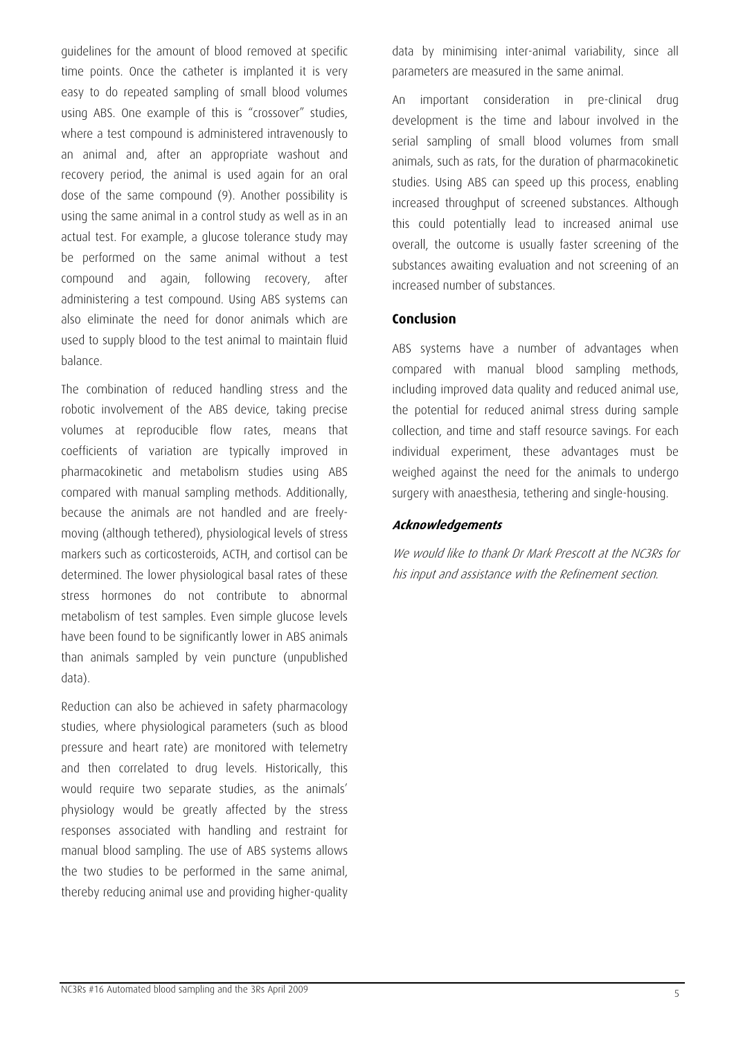guidelines for the amount of blood removed at specific time points. Once the catheter is implanted it is very easy to do repeated sampling of small blood volumes using ABS. One example of this is "crossover" studies, where a test compound is administered intravenously to an animal and, after an appropriate washout and recovery period, the animal is used again for an oral dose of the same compound (9). Another possibility is using the same animal in a control study as well as in an actual test. For example, a glucose tolerance study may be performed on the same animal without a test compound and again, following recovery, after administering a test compound. Using ABS systems can also eliminate the need for donor animals which are used to supply blood to the test animal to maintain fluid balance.

The combination of reduced handling stress and the robotic involvement of the ABS device, taking precise volumes at reproducible flow rates, means that coefficients of variation are typically improved in pharmacokinetic and metabolism studies using ABS compared with manual sampling methods. Additionally, because the animals are not handled and are freelymoving (although tethered), physiological levels of stress markers such as corticosteroids, ACTH, and cortisol can be determined. The lower physiological basal rates of these stress hormones do not contribute to abnormal metabolism of test samples. Even simple glucose levels have been found to be significantly lower in ABS animals than animals sampled by vein puncture (unpublished data).

Reduction can also be achieved in safety pharmacology studies, where physiological parameters (such as blood pressure and heart rate) are monitored with telemetry and then correlated to drug levels. Historically, this would require two separate studies, as the animals' physiology would be greatly affected by the stress responses associated with handling and restraint for manual blood sampling. The use of ABS systems allows the two studies to be performed in the same animal, thereby reducing animal use and providing higher-quality

data by minimising inter-animal variability, since all parameters are measured in the same animal.

An important consideration in pre-clinical drug development is the time and labour involved in the serial sampling of small blood volumes from small animals, such as rats, for the duration of pharmacokinetic studies. Using ABS can speed up this process, enabling increased throughput of screened substances. Although this could potentially lead to increased animal use overall, the outcome is usually faster screening of the substances awaiting evaluation and not screening of an increased number of substances.

# **Conclusion**

ABS systems have a number of advantages when compared with manual blood sampling methods, including improved data quality and reduced animal use, the potential for reduced animal stress during sample collection, and time and staff resource savings. For each individual experiment, these advantages must be weighed against the need for the animals to undergo surgery with anaesthesia, tethering and single-housing.

# **Acknowledgements**

We would like to thank Dr Mark Prescott at the NC3Rs for his input and assistance with the Refinement section.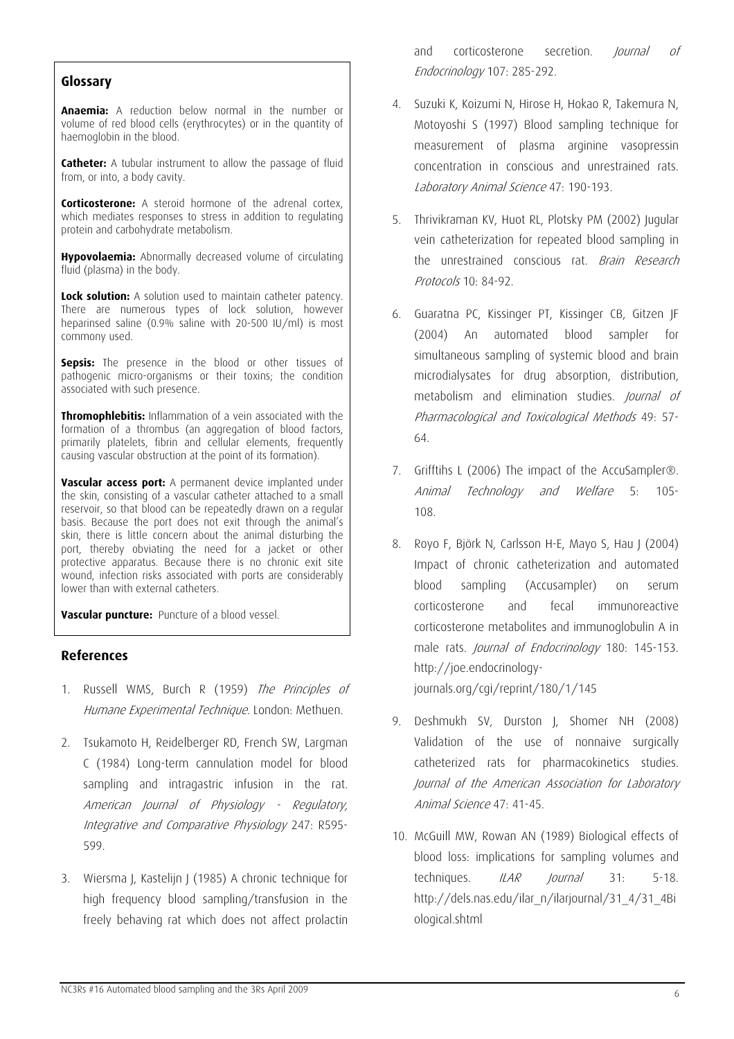**Anaemia:** A reduction below normal in the number or volume of red blood cells (erythrocytes) or in the quantity of haemoglobin in the blood.

**Catheter:** A tubular instrument to allow the passage of fluid from, or into, a body cavity.

**Corticosterone:** A steroid hormone of the adrenal cortex, which mediates responses to stress in addition to regulating protein and carbohydrate metabolism.

**Hypovolaemia:** Abnormally decreased volume of circulating fluid (plasma) in the body.

**Lock solution:** A solution used to maintain catheter patency. There are numerous types of lock solution, however heparinsed saline (0.9% saline with 20-500 IU/ml) is most commony used.

**Sepsis:** The presence in the blood or other tissues of pathogenic micro-organisms or their toxins; the condition associated with such presence.

**Thromophlebitis:** Inflammation of a vein associated with the formation of a thrombus (an aggregation of blood factors, primarily platelets, fibrin and cellular elements, frequently causing vascular obstruction at the point of its formation).

**Vascular access port:** A permanent device implanted under the skin, consisting of a vascular catheter attached to a small reservoir, so that blood can be repeatedly drawn on a regular basis. Because the port does not exit through the animal's skin, there is little concern about the animal disturbing the port, thereby obviating the need for a jacket or other protective apparatus. Because there is no chronic exit site wound, infection risks associated with ports are considerably lower than with external catheters.

**Vascular puncture:** Puncture of a blood vessel.

#### **References**

- 1. Russell WMS, Burch R (1959) The Principles of Humane Experimental Technique. London: Methuen.
- 2. Tsukamoto H, Reidelberger RD, French SW, Largman C (1984) Long-term cannulation model for blood sampling and intragastric infusion in the rat. American Journal of Physiology - Regulatory, Integrative and Comparative Physiology 247: R595- 599.
- 3. Wiersma J, Kastelijn J (1985) A chronic technique for high frequency blood sampling/transfusion in the freely behaving rat which does not affect prolactin

and corticosterone secretion. *Journal of* Endocrinology 107: 285-292. **Glossary** 

- 4. Suzuki K, Koizumi N, Hirose H, Hokao R, Takemura N, Motoyoshi S (1997) Blood sampling technique for measurement of plasma arginine vasopressin concentration in conscious and unrestrained rats. Laboratory Animal Science 47: 190-193.
- 5. Thrivikraman KV, Huot RL, Plotsky PM (2002) Jugular vein catheterization for repeated blood sampling in the unrestrained conscious rat. *Brain Research* Protocols 10: 84-92.
- 6. Guaratna PC, Kissinger PT, Kissinger CB, Gitzen JF (2004) An automated blood sampler for simultaneous sampling of systemic blood and brain microdialysates for drug absorption, distribution, metabolism and elimination studies. Journal of Pharmacological and Toxicological Methods 49: 57- 64.
- 7. Grifftihs L (2006) The impact of the AccuSampler®. Animal Technology and Welfare 5: 105- 108.
- 8. Royo F, Björk N, Carlsson H-E, Mayo S, Hau J (2004) Impact of chronic catheterization and automated blood sampling (Accusampler) on serum corticosterone and fecal immunoreactive corticosterone metabolites and immunoglobulin A in male rats. Journal of Endocrinology 180: 145-153. http://joe.endocrinology-

journals.org/cgi/reprint/180/1/145

- 9. Deshmukh SV, Durston J, Shomer NH (2008) Validation of the use of nonnaive surgically catheterized rats for pharmacokinetics studies. Journal of the American Association for Laboratory Animal Science 47: 41-45.
- lournal 10. McGuill MW, Rowan AN (1989) Biological effects of blood loss: implications for sampling volumes and techniques. *ILAR Iournal* 31: 5-18. http://dels.nas.edu/ilar\_n/ilarjournal/31\_4/31\_4Bi ological.shtml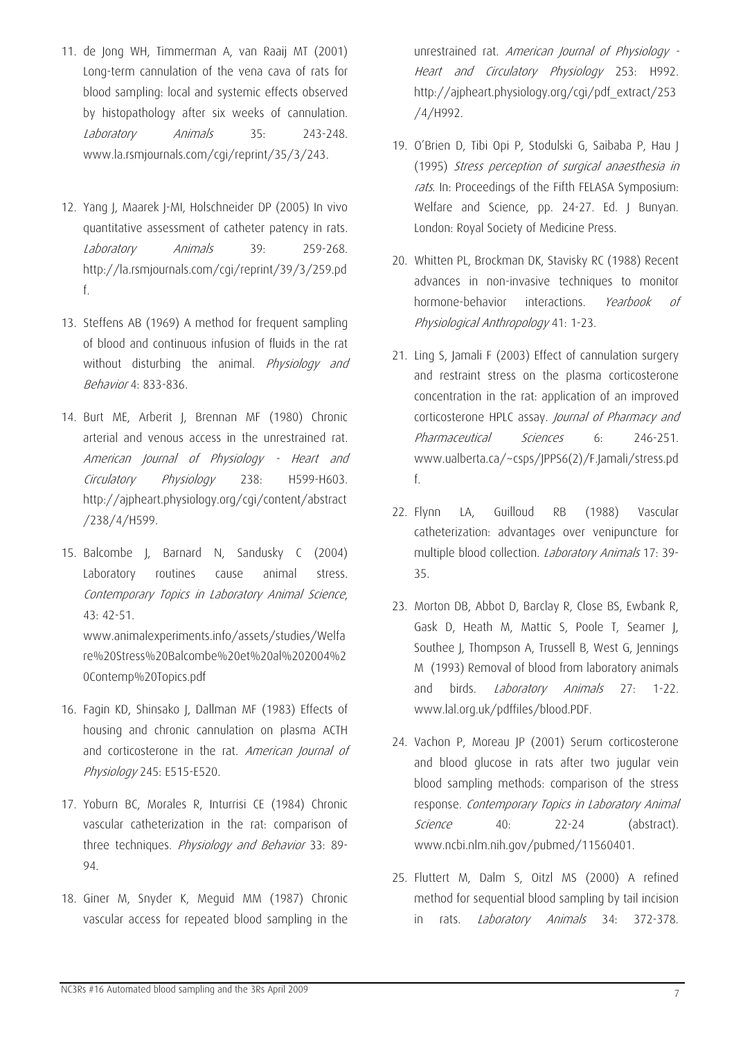- 11. de Jong WH, Timmerman A, van Raaij MT (2001) Long-term cannulation of the vena cava of rats for blood sampling: local and systemic effects observed by histopathology after six weeks of cannulation. Laboratory Animals 35: 243-248. www.la.rsmjournals.com/cgi/reprint/35/3/243.
- 12. Yang J, Maarek J-MI, Holschneider DP (2005) In vivo quantitative assessment of catheter patency in rats. Laboratory Animals 39: 259-268. http://la.rsmjournals.com/cgi/reprint/39/3/259.pd f.
- 13. Steffens AB (1969) A method for frequent sampling of blood and continuous infusion of fluids in the rat without disturbing the animal. *Physiology and* Behavior 4: 833-836.
- 14. Burt ME, Arberit J, Brennan MF (1980) Chronic arterial and venous access in the unrestrained rat. American Journal of Physiology - Heart and Circulatory Physiology 238: H599-H603. http://ajpheart.physiology.org/cgi/content/abstract /238/4/H599.
- 15. Balcombe J, Barnard N, Sandusky C (2004) Laboratory routines cause animal stress. Contemporary Topics in Laboratory Animal Science, 43: 42-51.

www.animalexperiments.info/assets/studies/Welfa re%20Stress%20Balcombe%20et%20al%202004%2 0Contemp%20Topics.pdf

- 16. Fagin KD, Shinsako J, Dallman MF (1983) Effects of housing and chronic cannulation on plasma ACTH and corticosterone in the rat. *American Journal of* Physiology 245: E515-E520.
- 17. Yoburn BC, Morales R, Inturrisi CE (1984) Chronic vascular catheterization in the rat: comparison of three techniques. *Physiology and Behavior* 33: 89-94.
- 18. Giner M, Snyder K, Meguid MM (1987) Chronic vascular access for repeated blood sampling in the

unrestrained rat. American Journal of Physiology -Heart and Circulatory Physiology 253: H992. http://ajpheart.physiology.org/cgi/pdf\_extract/253 /4/H992.

- (1995) Stress perception of surgical anaesthesia in 19. O'Brien D, Tibi Opi P, Stodulski G, Saibaba P, Hau J rats. In: Proceedings of the Fifth FELASA Symposium: Welfare and Science, pp. 24-27. Ed. | Bunyan. London: Royal Society of Medicine Press.
- 20. Whitten PL, Brockman DK, Stavisky RC (1988) Recent advances in non-invasive techniques to monitor hormone-behavior interactions. Yearbook of Physiological Anthropology 41: 1-23.
- 21. Ling S, Jamali F (2003) Effect of cannulation surgery and restraint stress on the plasma corticosterone concentration in the rat: application of an improved corticosterone HPLC assay. Journal of Pharmacy and Pharmaceutical Sciences 6: 246-251. www.ualberta.ca/~csps/JPPS6(2)/F.Jamali/stress.pd f.
- 22. Flynn LA, Guilloud RB (1988) Vascular catheterization: advantages over venipuncture for multiple blood collection. Laboratory Animals 17: 39- 35.
- 23. Morton DB, Abbot D, Barclay R, Close BS, Ewbank R, Gask D, Heath M, Mattic S, Poole T, Seamer J, Southee J, Thompson A, Trussell B, West G, Jennings M (1993) Removal of blood from laboratory animals and birds. Laboratory Animals 27: 1-22. www.lal.org.uk/pdffiles/blood.PDF.
- 24. Vachon P, Moreau JP (2001) Serum corticosterone and blood glucose in rats after two jugular vein blood sampling methods: comparison of the stress response. Contemporary Topics in Laboratory Animal Science 40: 22-24 (abstract). www.ncbi.nlm.nih.gov/pubmed/11560401.
- 25. Fluttert M, Dalm S, Oitzl MS (2000) A refined method for sequential blood sampling by tail incision in rats. *Laboratory Animals* 34: 372-378.